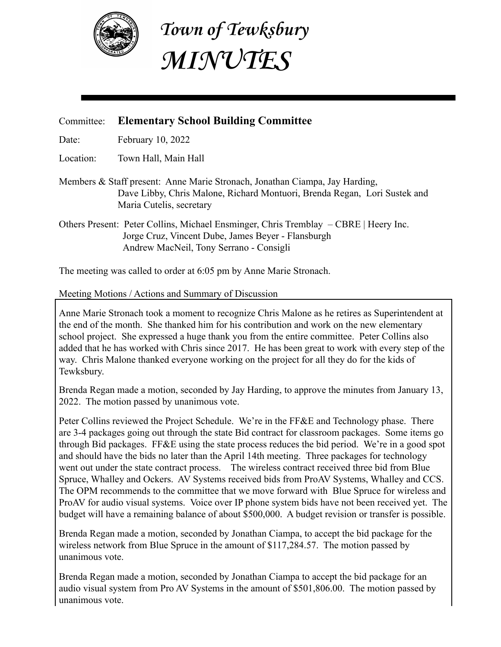

**Town of Tewksbury MINUTES**

## Committee: **Elementary School Building Committee**

Date: February 10, 2022

Location: Town Hall, Main Hall

- Members & Staff present: Anne Marie Stronach, Jonathan Ciampa, Jay Harding, Dave Libby, Chris Malone, Richard Montuori, Brenda Regan, Lori Sustek and Maria Cutelis, secretary
- Others Present: Peter Collins, Michael Ensminger, Chris Tremblay CBRE | Heery Inc. Jorge Cruz, Vincent Dube, James Beyer - Flansburgh Andrew MacNeil, Tony Serrano - Consigli

The meeting was called to order at 6:05 pm by Anne Marie Stronach.

## Meeting Motions / Actions and Summary of Discussion

Anne Marie Stronach took a moment to recognize Chris Malone as he retires as Superintendent at the end of the month. She thanked him for his contribution and work on the new elementary school project. She expressed a huge thank you from the entire committee. Peter Collins also added that he has worked with Chris since 2017. He has been great to work with every step of the way. Chris Malone thanked everyone working on the project for all they do for the kids of Tewksbury.

Brenda Regan made a motion, seconded by Jay Harding, to approve the minutes from January 13, 2022. The motion passed by unanimous vote.

Peter Collins reviewed the Project Schedule. We're in the FF&E and Technology phase. There are 3-4 packages going out through the state Bid contract for classroom packages. Some items go through Bid packages. FF&E using the state process reduces the bid period. We're in a good spot and should have the bids no later than the April 14th meeting. Three packages for technology went out under the state contract process. The wireless contract received three bid from Blue Spruce, Whalley and Ockers. AV Systems received bids from ProAV Systems, Whalley and CCS. The OPM recommends to the committee that we move forward with Blue Spruce for wireless and ProAV for audio visual systems. Voice over IP phone system bids have not been received yet. The budget will have a remaining balance of about \$500,000. A budget revision or transfer is possible.

Brenda Regan made a motion, seconded by Jonathan Ciampa, to accept the bid package for the wireless network from Blue Spruce in the amount of \$117,284.57. The motion passed by unanimous vote.

Brenda Regan made a motion, seconded by Jonathan Ciampa to accept the bid package for an audio visual system from Pro AV Systems in the amount of \$501,806.00. The motion passed by unanimous vote.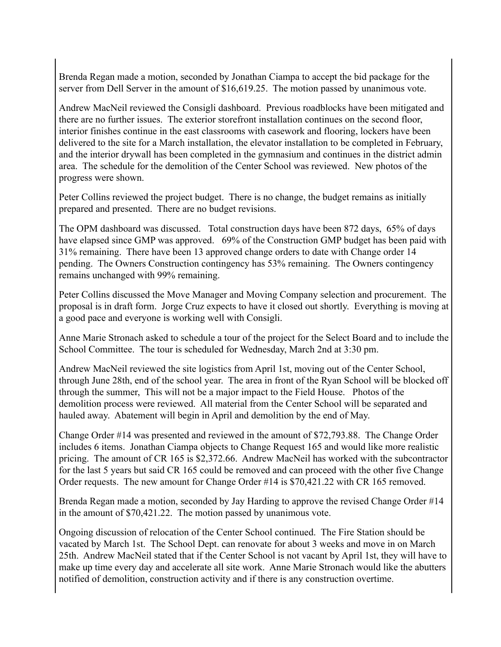Brenda Regan made a motion, seconded by Jonathan Ciampa to accept the bid package for the server from Dell Server in the amount of \$16,619.25. The motion passed by unanimous vote.

Andrew MacNeil reviewed the Consigli dashboard. Previous roadblocks have been mitigated and there are no further issues. The exterior storefront installation continues on the second floor, interior finishes continue in the east classrooms with casework and flooring, lockers have been delivered to the site for a March installation, the elevator installation to be completed in February, and the interior drywall has been completed in the gymnasium and continues in the district admin area. The schedule for the demolition of the Center School was reviewed. New photos of the progress were shown.

Peter Collins reviewed the project budget. There is no change, the budget remains as initially prepared and presented. There are no budget revisions.

The OPM dashboard was discussed. Total construction days have been 872 days, 65% of days have elapsed since GMP was approved. 69% of the Construction GMP budget has been paid with 31% remaining. There have been 13 approved change orders to date with Change order 14 pending. The Owners Construction contingency has 53% remaining. The Owners contingency remains unchanged with 99% remaining.

Peter Collins discussed the Move Manager and Moving Company selection and procurement. The proposal is in draft form. Jorge Cruz expects to have it closed out shortly. Everything is moving at a good pace and everyone is working well with Consigli.

Anne Marie Stronach asked to schedule a tour of the project for the Select Board and to include the School Committee. The tour is scheduled for Wednesday, March 2nd at 3:30 pm.

Andrew MacNeil reviewed the site logistics from April 1st, moving out of the Center School, through June 28th, end of the school year. The area in front of the Ryan School will be blocked off through the summer, This will not be a major impact to the Field House. Photos of the demolition process were reviewed. All material from the Center School will be separated and hauled away. Abatement will begin in April and demolition by the end of May.

Change Order #14 was presented and reviewed in the amount of \$72,793.88. The Change Order includes 6 items. Jonathan Ciampa objects to Change Request 165 and would like more realistic pricing. The amount of CR 165 is \$2,372.66. Andrew MacNeil has worked with the subcontractor for the last 5 years but said CR 165 could be removed and can proceed with the other five Change Order requests. The new amount for Change Order #14 is \$70,421.22 with CR 165 removed.

Brenda Regan made a motion, seconded by Jay Harding to approve the revised Change Order #14 in the amount of \$70,421.22. The motion passed by unanimous vote.

Ongoing discussion of relocation of the Center School continued. The Fire Station should be vacated by March 1st. The School Dept. can renovate for about 3 weeks and move in on March 25th. Andrew MacNeil stated that if the Center School is not vacant by April 1st, they will have to make up time every day and accelerate all site work. Anne Marie Stronach would like the abutters notified of demolition, construction activity and if there is any construction overtime.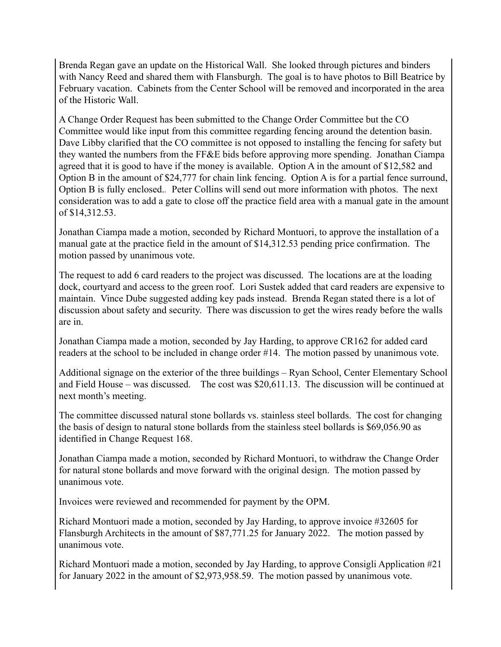Brenda Regan gave an update on the Historical Wall. She looked through pictures and binders with Nancy Reed and shared them with Flansburgh. The goal is to have photos to Bill Beatrice by February vacation. Cabinets from the Center School will be removed and incorporated in the area of the Historic Wall.

A Change Order Request has been submitted to the Change Order Committee but the CO Committee would like input from this committee regarding fencing around the detention basin. Dave Libby clarified that the CO committee is not opposed to installing the fencing for safety but they wanted the numbers from the FF&E bids before approving more spending. Jonathan Ciampa agreed that it is good to have if the money is available. Option A in the amount of \$12,582 and Option B in the amount of \$24,777 for chain link fencing. Option A is for a partial fence surround, Option B is fully enclosed.*.* Peter Collins will send out more information with photos. The next consideration was to add a gate to close off the practice field area with a manual gate in the amount of \$14,312.53.

Jonathan Ciampa made a motion, seconded by Richard Montuori, to approve the installation of a manual gate at the practice field in the amount of \$14,312.53 pending price confirmation. The motion passed by unanimous vote.

The request to add 6 card readers to the project was discussed. The locations are at the loading dock, courtyard and access to the green roof. Lori Sustek added that card readers are expensive to maintain. Vince Dube suggested adding key pads instead. Brenda Regan stated there is a lot of discussion about safety and security. There was discussion to get the wires ready before the walls are in.

Jonathan Ciampa made a motion, seconded by Jay Harding, to approve CR162 for added card readers at the school to be included in change order #14. The motion passed by unanimous vote.

Additional signage on the exterior of the three buildings – Ryan School, Center Elementary School and Field House – was discussed. The cost was \$20,611.13. The discussion will be continued at next month's meeting.

The committee discussed natural stone bollards vs. stainless steel bollards. The cost for changing the basis of design to natural stone bollards from the stainless steel bollards is \$69,056.90 as identified in Change Request 168.

Jonathan Ciampa made a motion, seconded by Richard Montuori, to withdraw the Change Order for natural stone bollards and move forward with the original design. The motion passed by unanimous vote.

Invoices were reviewed and recommended for payment by the OPM.

Richard Montuori made a motion, seconded by Jay Harding, to approve invoice #32605 for Flansburgh Architects in the amount of \$87,771.25 for January 2022. The motion passed by unanimous vote.

Richard Montuori made a motion, seconded by Jay Harding, to approve Consigli Application #21 for January 2022 in the amount of \$2,973,958.59. The motion passed by unanimous vote.